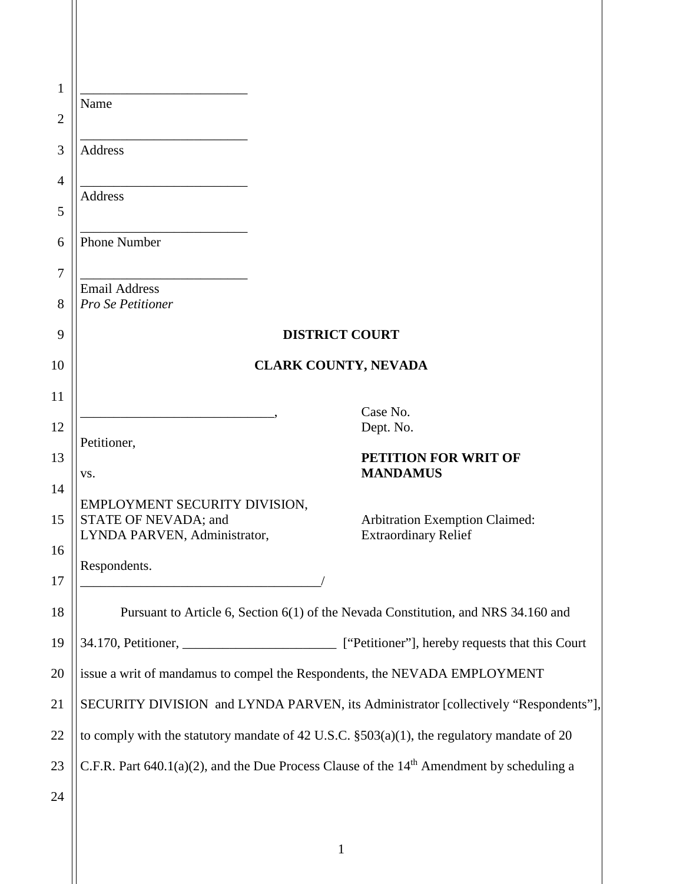| $\mathbf{1}$   | Name                                                                                               |                                |  |  |  |
|----------------|----------------------------------------------------------------------------------------------------|--------------------------------|--|--|--|
| $\overline{2}$ |                                                                                                    |                                |  |  |  |
| 3              | <b>Address</b>                                                                                     |                                |  |  |  |
| 4              | <b>Address</b>                                                                                     |                                |  |  |  |
| 5              |                                                                                                    |                                |  |  |  |
| 6              | <b>Phone Number</b>                                                                                |                                |  |  |  |
| 7              | <b>Email Address</b>                                                                               |                                |  |  |  |
| 8              | Pro Se Petitioner                                                                                  |                                |  |  |  |
| 9              | <b>DISTRICT COURT</b>                                                                              |                                |  |  |  |
| 10             | <b>CLARK COUNTY, NEVADA</b>                                                                        |                                |  |  |  |
| 11             |                                                                                                    | Case No.                       |  |  |  |
| 12             |                                                                                                    | Dept. No.                      |  |  |  |
| 13             | Petitioner,                                                                                        | PETITION FOR WRIT OF           |  |  |  |
| 14             | VS.                                                                                                | <b>MANDAMUS</b>                |  |  |  |
| 15             | EMPLOYMENT SECURITY DIVISION,<br>STATE OF NEVADA; and                                              | Arbitration Exemption Claimed: |  |  |  |
| 16             | LYNDA PARVEN, Administrator,                                                                       | <b>Extraordinary Relief</b>    |  |  |  |
| 17             | Respondents.                                                                                       |                                |  |  |  |
|                |                                                                                                    |                                |  |  |  |
| 18             | Pursuant to Article 6, Section 6(1) of the Nevada Constitution, and NRS 34.160 and                 |                                |  |  |  |
| 19             | 34.170, Petitioner, ______________________________ ["Petitioner"], hereby requests that this Court |                                |  |  |  |
| 20             | issue a writ of mandamus to compel the Respondents, the NEVADA EMPLOYMENT                          |                                |  |  |  |
| 21             | SECURITY DIVISION and LYNDA PARVEN, its Administrator [collectively "Respondents"],                |                                |  |  |  |
| 22             | to comply with the statutory mandate of 42 U.S.C. $\S 503(a)(1)$ , the regulatory mandate of 20    |                                |  |  |  |
| 23             | C.F.R. Part $640.1(a)(2)$ , and the Due Process Clause of the $14th$ Amendment by scheduling a     |                                |  |  |  |
| 24             |                                                                                                    |                                |  |  |  |
|                |                                                                                                    |                                |  |  |  |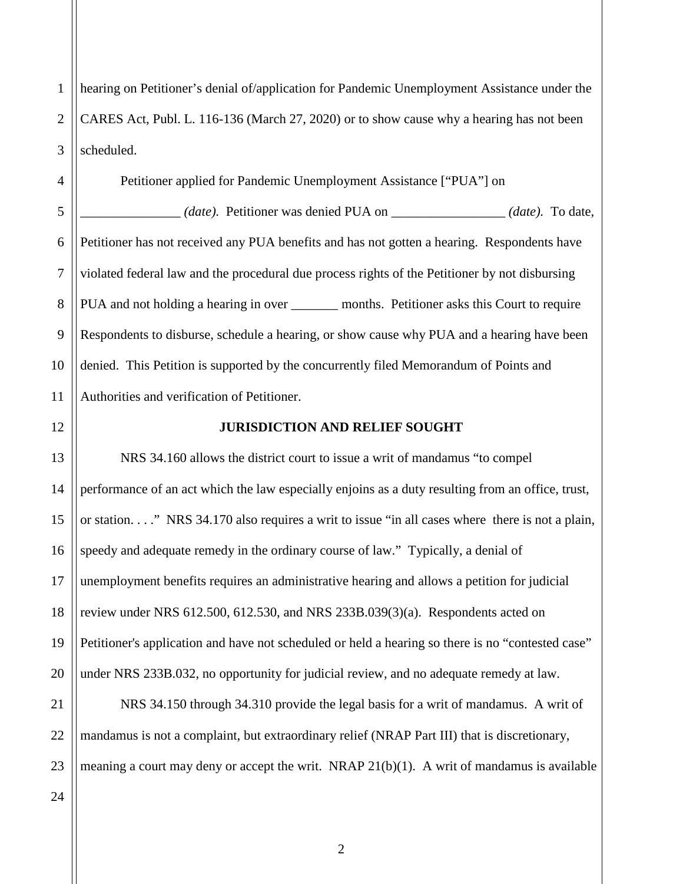1 2 3 hearing on Petitioner's denial of/application for Pandemic Unemployment Assistance under the CARES Act, Publ. L. 116-136 (March 27, 2020) or to show cause why a hearing has not been scheduled.

4 5 6 7 8 9 10 11 Petitioner applied for Pandemic Unemployment Assistance ["PUA"] on \_\_\_\_\_\_\_\_\_\_\_\_\_\_\_ *(date).* Petitioner was denied PUA on \_\_\_\_\_\_\_\_\_\_\_\_\_\_\_\_\_ *(date).* To date, Petitioner has not received any PUA benefits and has not gotten a hearing. Respondents have violated federal law and the procedural due process rights of the Petitioner by not disbursing PUA and not holding a hearing in over \_\_\_\_\_\_\_\_ months. Petitioner asks this Court to require Respondents to disburse, schedule a hearing, or show cause why PUA and a hearing have been denied. This Petition is supported by the concurrently filed Memorandum of Points and Authorities and verification of Petitioner.

12 13

14

15

16

17

18

19

20

## **JURISDICTION AND RELIEF SOUGHT**

NRS 34.160 allows the district court to issue a writ of mandamus "to compel performance of an act which the law especially enjoins as a duty resulting from an office, trust, or station. . . ." NRS 34.170 also requires a writ to issue "in all cases where there is not a plain, speedy and adequate remedy in the ordinary course of law." Typically, a denial of unemployment benefits requires an administrative hearing and allows a petition for judicial review under NRS 612.500, 612.530, and NRS 233B.039(3)(a). Respondents acted on Petitioner's application and have not scheduled or held a hearing so there is no "contested case" under NRS 233B.032, no opportunity for judicial review, and no adequate remedy at law.

21 22 23 NRS 34.150 through 34.310 provide the legal basis for a writ of mandamus. A writ of mandamus is not a complaint, but extraordinary relief (NRAP Part III) that is discretionary, meaning a court may deny or accept the writ. NRAP  $21(b)(1)$ . A writ of mandamus is available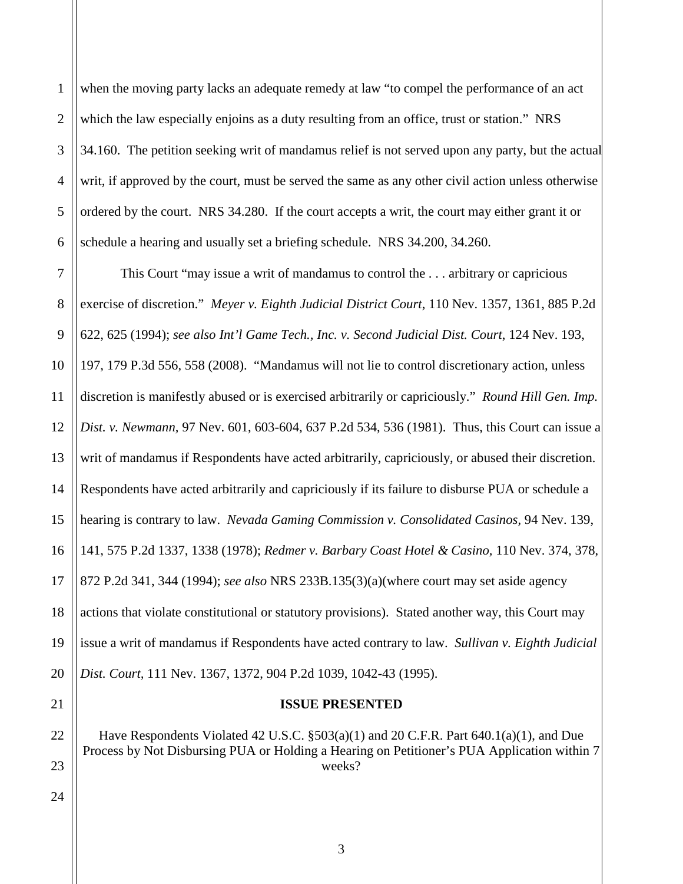1 2 3 4 5 6 when the moving party lacks an adequate remedy at law "to compel the performance of an act which the law especially enjoins as a duty resulting from an office, trust or station." NRS 34.160. The petition seeking writ of mandamus relief is not served upon any party, but the actual writ, if approved by the court, must be served the same as any other civil action unless otherwise ordered by the court. NRS 34.280. If the court accepts a writ, the court may either grant it or schedule a hearing and usually set a briefing schedule. NRS 34.200, 34.260.

7 8 9 10 11 12 13 14 15 16 17 18 19 20 This Court "may issue a writ of mandamus to control the . . . arbitrary or capricious exercise of discretion." *Meyer v. Eighth Judicial District Court*, 110 Nev. 1357, 1361, 885 P.2d 622, 625 (1994); *see also Int'l Game Tech., Inc. v. Second Judicial Dist. Court*, 124 Nev. 193, 197, 179 P.3d 556, 558 (2008). "Mandamus will not lie to control discretionary action, unless discretion is manifestly abused or is exercised arbitrarily or capriciously." *Round Hill Gen. Imp. Dist. v. Newmann,* 97 Nev. 601, 603-604, 637 P.2d 534, 536 (1981). Thus, this Court can issue a writ of mandamus if Respondents have acted arbitrarily, capriciously, or abused their discretion. Respondents have acted arbitrarily and capriciously if its failure to disburse PUA or schedule a hearing is contrary to law. *Nevada Gaming Commission v. Consolidated Casinos,* 94 Nev. 139, 141, 575 P.2d 1337, 1338 (1978); *Redmer v. Barbary Coast Hotel & Casino,* 110 Nev. 374, 378, 872 P.2d 341, 344 (1994); *see also* NRS 233B.135(3)(a)(where court may set aside agency actions that violate constitutional or statutory provisions). Stated another way, this Court may issue a writ of mandamus if Respondents have acted contrary to law. *Sullivan v. Eighth Judicial Dist. Court,* 111 Nev. 1367, 1372, 904 P.2d 1039, 1042-43 (1995).

21

22

23

**ISSUE PRESENTED**

Have Respondents Violated 42 U.S.C. §503(a)(1) and 20 C.F.R. Part 640.1(a)(1), and Due Process by Not Disbursing PUA or Holding a Hearing on Petitioner's PUA Application within 7 weeks?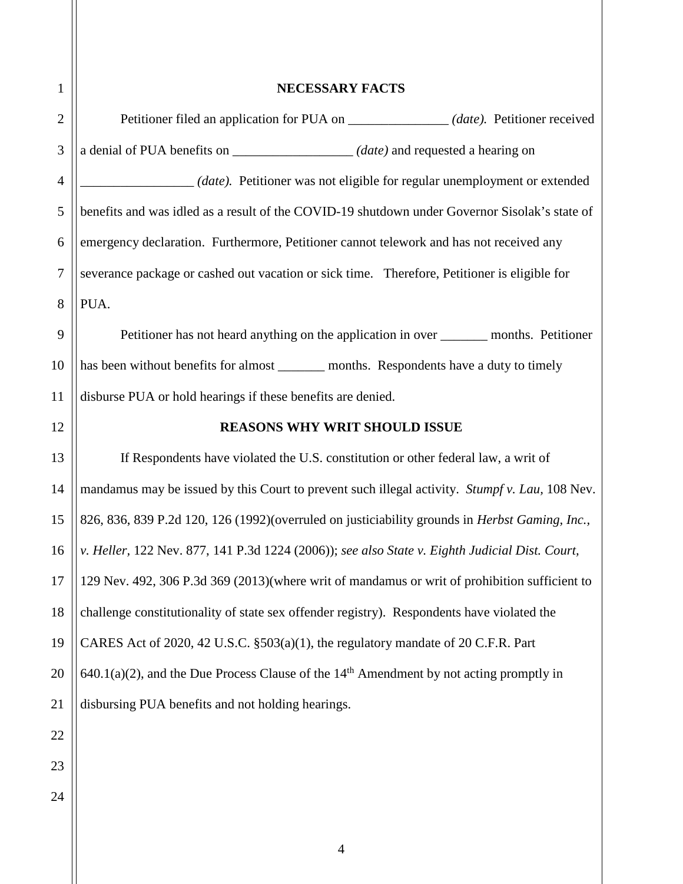| $\mathbf{1}$   | <b>NECESSARY FACTS</b>                                                                                 |  |  |
|----------------|--------------------------------------------------------------------------------------------------------|--|--|
| $\overline{2}$ | Petitioner filed an application for PUA on _______________(date). Petitioner received                  |  |  |
| 3              | a denial of PUA benefits on ____________________(date) and requested a hearing on                      |  |  |
| $\overline{4}$ | ( <i>date</i> ). Petitioner was not eligible for regular unemployment or extended                      |  |  |
| 5              | benefits and was idled as a result of the COVID-19 shutdown under Governor Sisolak's state of          |  |  |
| 6              | emergency declaration. Furthermore, Petitioner cannot telework and has not received any                |  |  |
| $\tau$         | severance package or cashed out vacation or sick time. Therefore, Petitioner is eligible for           |  |  |
| 8              | PUA.                                                                                                   |  |  |
| 9              | Petitioner has not heard anything on the application in over _________ months. Petitioner              |  |  |
| 10             | has been without benefits for almost ________ months. Respondents have a duty to timely                |  |  |
| 11             | disburse PUA or hold hearings if these benefits are denied.                                            |  |  |
| 12             | <b>REASONS WHY WRIT SHOULD ISSUE</b>                                                                   |  |  |
| 13             | If Respondents have violated the U.S. constitution or other federal law, a writ of                     |  |  |
| 14             | mandamus may be issued by this Court to prevent such illegal activity. Stumpf v. Lau, 108 Nev.         |  |  |
| 15             | 826, 836, 839 P.2d 120, 126 (1992)(overruled on justiciability grounds in Herbst Gaming, Inc.,         |  |  |
| 16             | v. Heller, 122 Nev. 877, 141 P.3d 1224 (2006)); see also State v. Eighth Judicial Dist. Court,         |  |  |
| 17             | 129 Nev. 492, 306 P.3d 369 (2013)(where writ of mandamus or writ of prohibition sufficient to          |  |  |
| 18             | challenge constitutionality of state sex offender registry). Respondents have violated the             |  |  |
| 19             | CARES Act of 2020, 42 U.S.C. §503(a)(1), the regulatory mandate of 20 C.F.R. Part                      |  |  |
| 20             | $640.1(a)(2)$ , and the Due Process Clause of the 14 <sup>th</sup> Amendment by not acting promptly in |  |  |
| 21             | disbursing PUA benefits and not holding hearings.                                                      |  |  |
| 22             |                                                                                                        |  |  |
| 23             |                                                                                                        |  |  |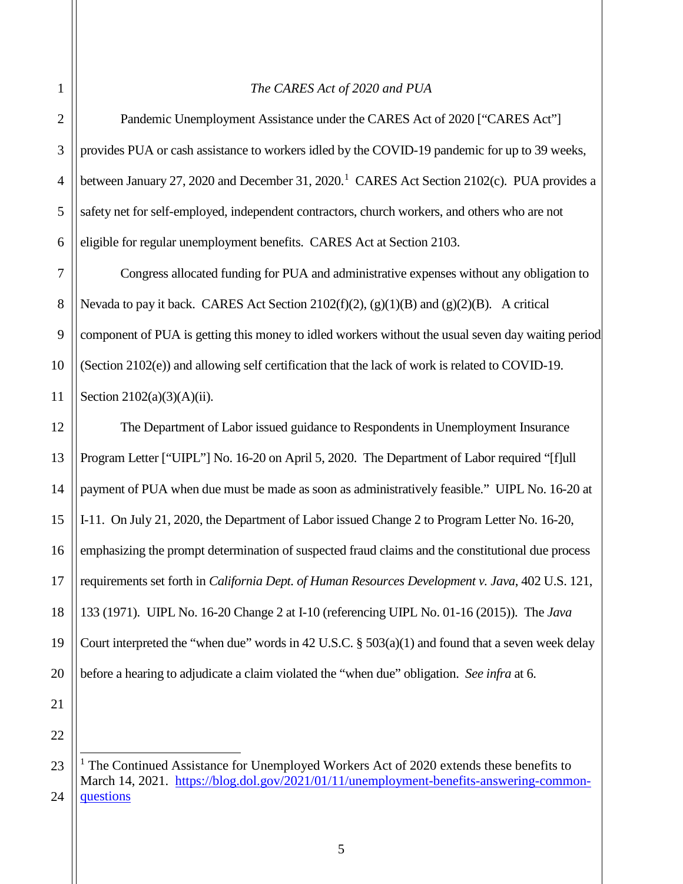## *The CARES Act of 2020 and PUA*

Pandemic Unemployment Assistance under the CARES Act of 2020 ["CARES Act"] provides PUA or cash assistance to workers idled by the COVID-19 pandemic for up to 39 weeks, between January 27, 2020 and December 3[1](#page-4-0), 2020.<sup>1</sup> CARES Act Section 2102(c). PUA provides a safety net for self-employed, independent contractors, church workers, and others who are not eligible for regular unemployment benefits. CARES Act at Section 2103.

7 8 9 10 11 Congress allocated funding for PUA and administrative expenses without any obligation to Nevada to pay it back. CARES Act Section 2102(f)(2),  $(g)(1)(B)$  and  $(g)(2)(B)$ . A critical component of PUA is getting this money to idled workers without the usual seven day waiting period (Section 2102(e)) and allowing self certification that the lack of work is related to COVID-19. Section 2102(a)(3)(A)(ii).

12 13 14 15 16 17 18 19 20 The Department of Labor issued guidance to Respondents in Unemployment Insurance Program Letter ["UIPL"] No. 16-20 on April 5, 2020. The Department of Labor required "[f]ull payment of PUA when due must be made as soon as administratively feasible." UIPL No. 16-20 at I-11. On July 21, 2020, the Department of Labor issued Change 2 to Program Letter No. 16-20, emphasizing the prompt determination of suspected fraud claims and the constitutional due process requirements set forth in *California Dept. of Human Resources Development v. Java*, 402 U.S. 121, 133 (1971). UIPL No. 16-20 Change 2 at I-10 (referencing UIPL No. 01-16 (2015)). The *Java* Court interpreted the "when due" words in 42 U.S.C.  $\S$  503(a)(1) and found that a seven week delay before a hearing to adjudicate a claim violated the "when due" obligation. *See infra* at 6.

21 22

j

3

4

5

<span id="page-4-0"></span><sup>23</sup> 24 <sup>1</sup> The Continued Assistance for Unemployed Workers Act of 2020 extends these benefits to March 14, 2021. [https://blog.dol.gov/2021/01/11/unemployment-benefits-answering-common](https://blog.dol.gov/2021/01/11/unemployment-benefits-answering-common-questions)[questions](https://blog.dol.gov/2021/01/11/unemployment-benefits-answering-common-questions)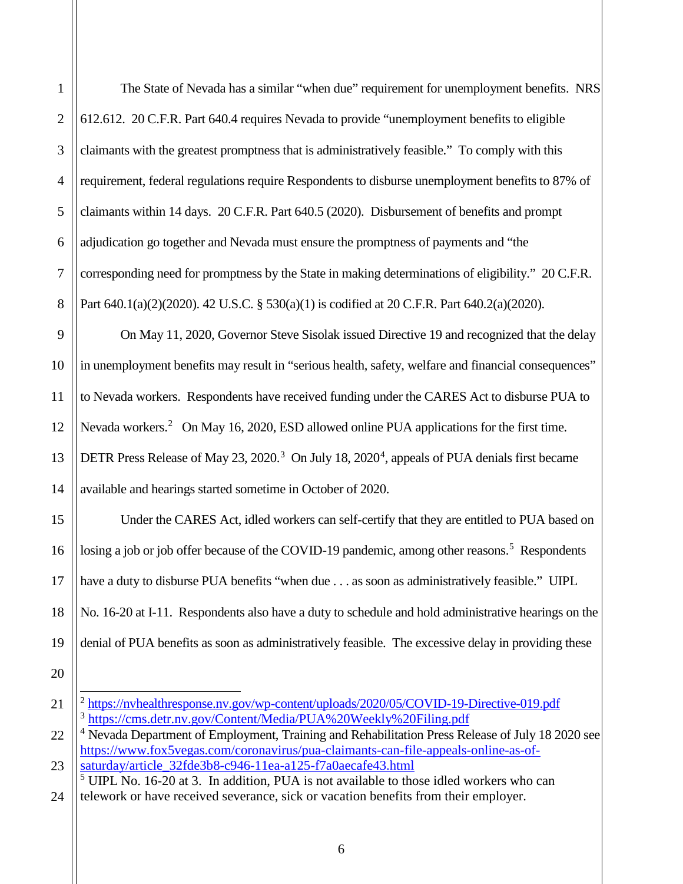The State of Nevada has a similar "when due" requirement for unemployment benefits. NRS 612.612. 20 C.F.R. Part 640.4 requires Nevada to provide "unemployment benefits to eligible claimants with the greatest promptness that is administratively feasible." To comply with this requirement, federal regulations require Respondents to disburse unemployment benefits to 87% of claimants within 14 days. 20 C.F.R. Part 640.5 (2020). Disbursement of benefits and prompt adjudication go together and Nevada must ensure the promptness of payments and "the corresponding need for promptness by the State in making determinations of eligibility." 20 C.F.R. Part 640.1(a)(2)(2020). 42 U.S.C. § 530(a)(1) is codified at 20 C.F.R. Part 640.2(a)(2020).

On May 11, 2020, Governor Steve Sisolak issued Directive 19 and recognized that the delay in unemployment benefits may result in "serious health, safety, welfare and financial consequences" to Nevada workers. Respondents have received funding under the CARES Act to disburse PUA to Nevada workers.<sup>[2](#page-5-0)</sup> On May 16, 2020, ESD allowed online PUA applications for the first time. DETR Press Release of May 2[3](#page-5-1), 2020.<sup>3</sup> On July 18, 2020<sup>[4](#page-5-2)</sup>, appeals of PUA denials first became available and hearings started sometime in October of 2020.

Under the CARES Act, idled workers can self-certify that they are entitled to PUA based on losing a job or job offer because of the COVID-19 pandemic, among other reasons.<sup>[5](#page-5-3)</sup> Respondents have a duty to disburse PUA benefits "when due . . . as soon as administratively feasible." UIPL No. 16-20 at I-11. Respondents also have a duty to schedule and hold administrative hearings on the denial of PUA benefits as soon as administratively feasible. The excessive delay in providing these

<span id="page-5-0"></span>20

 $\overline{a}$ 

<sup>&</sup>lt;sup>2</sup> https://nyhealthresponse.ny.gov/wp-content/uploads/2020/05/COVID-19-Directive-019.pdf <sup>3</sup> <https://cms.detr.nv.gov/Content/Media/PUA%20Weekly%20Filing.pdf>

<span id="page-5-2"></span><span id="page-5-1"></span><sup>&</sup>lt;sup>4</sup> Nevada Department of Employment, Training and Rehabilitation Press Release of July 18 2020 see [https://www.fox5vegas.com/coronavirus/pua-claimants-can-file-appeals-online-as-of](https://www.fox5vegas.com/coronavirus/pua-claimants-can-file-appeals-online-as-of-saturday/article_32fde3b8-c946-11ea-a125-f7a0aecafe43.html)[saturday/article\\_32fde3b8-c946-11ea-a125-f7a0aecafe43.html](https://www.fox5vegas.com/coronavirus/pua-claimants-can-file-appeals-online-as-of-saturday/article_32fde3b8-c946-11ea-a125-f7a0aecafe43.html)

<span id="page-5-3"></span> $<sup>5</sup>$  UIPL No. 16-20 at 3. In addition, PUA is not available to those idled workers who can</sup> telework or have received severance, sick or vacation benefits from their employer.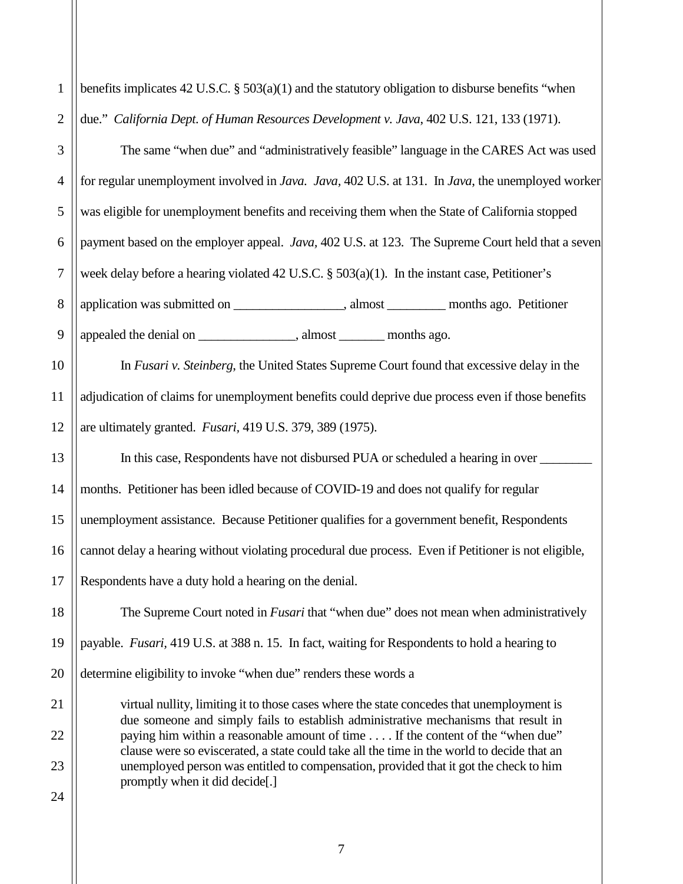| $\mathbf{1}$   | benefits implicates 42 U.S.C. $\S$ 503(a)(1) and the statutory obligation to disburse benefits "when                                                                                |  |  |  |
|----------------|-------------------------------------------------------------------------------------------------------------------------------------------------------------------------------------|--|--|--|
| $\overline{2}$ | due." California Dept. of Human Resources Development v. Java, 402 U.S. 121, 133 (1971).                                                                                            |  |  |  |
| 3              | The same "when due" and "administratively feasible" language in the CARES Act was used                                                                                              |  |  |  |
| 4              | for regular unemployment involved in Java. Java, 402 U.S. at 131. In Java, the unemployed worker                                                                                    |  |  |  |
| 5              | was eligible for unemployment benefits and receiving them when the State of California stopped                                                                                      |  |  |  |
| 6              | payment based on the employer appeal. Java, 402 U.S. at 123. The Supreme Court held that a seven                                                                                    |  |  |  |
| $\tau$         | week delay before a hearing violated 42 U.S.C. § 503(a)(1). In the instant case, Petitioner's                                                                                       |  |  |  |
| 8              |                                                                                                                                                                                     |  |  |  |
| 9              | appealed the denial on _______________________, almost __________ months ago.                                                                                                       |  |  |  |
| 10             | In Fusari v. Steinberg, the United States Supreme Court found that excessive delay in the                                                                                           |  |  |  |
| 11             | adjudication of claims for unemployment benefits could deprive due process even if those benefits                                                                                   |  |  |  |
| 12             | are ultimately granted. Fusari, 419 U.S. 379, 389 (1975).                                                                                                                           |  |  |  |
| 13             | In this case, Respondents have not disbursed PUA or scheduled a hearing in over                                                                                                     |  |  |  |
| 14             | months. Petitioner has been idled because of COVID-19 and does not qualify for regular                                                                                              |  |  |  |
| 15             | unemployment assistance. Because Petitioner qualifies for a government benefit, Respondents                                                                                         |  |  |  |
| 16             | cannot delay a hearing without violating procedural due process. Even if Petitioner is not eligible,                                                                                |  |  |  |
| 17             | Respondents have a duty hold a hearing on the denial.                                                                                                                               |  |  |  |
| 18             | The Supreme Court noted in <i>Fusari</i> that "when due" does not mean when administratively                                                                                        |  |  |  |
| 19             | payable. <i>Fusari</i> , 419 U.S. at 388 n. 15. In fact, waiting for Respondents to hold a hearing to                                                                               |  |  |  |
| 20             | determine eligibility to invoke "when due" renders these words a                                                                                                                    |  |  |  |
| 21             | virtual nullity, limiting it to those cases where the state concedes that unemployment is                                                                                           |  |  |  |
| 22             | due someone and simply fails to establish administrative mechanisms that result in<br>paying him within a reasonable amount of time If the content of the "when due"                |  |  |  |
| 23             | clause were so eviscerated, a state could take all the time in the world to decide that an<br>unemployed person was entitled to compensation, provided that it got the check to him |  |  |  |
| 24             | promptly when it did decide[.]                                                                                                                                                      |  |  |  |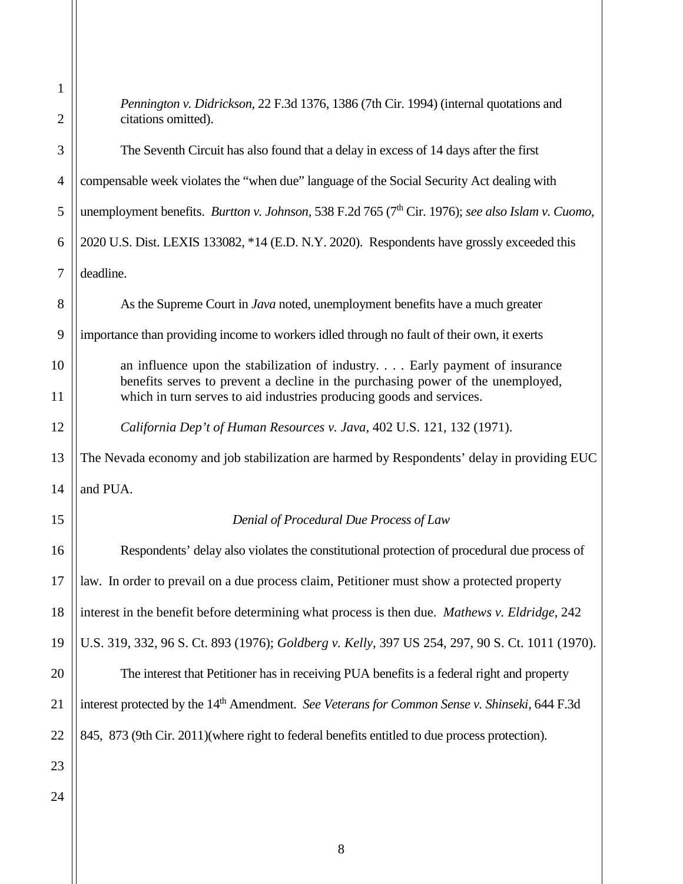| 1              |                                                                                                                                                                                                                                       |  |
|----------------|---------------------------------------------------------------------------------------------------------------------------------------------------------------------------------------------------------------------------------------|--|
| $\overline{2}$ | <i>Pennington v. Didrickson, 22 F.3d 1376, 1386 (7th Cir. 1994) (internal quotations and</i><br>citations omitted).                                                                                                                   |  |
| 3              | The Seventh Circuit has also found that a delay in excess of 14 days after the first                                                                                                                                                  |  |
| 4              | compensable week violates the "when due" language of the Social Security Act dealing with                                                                                                                                             |  |
| 5              | unemployment benefits. Burtton v. Johnson, 538 F.2d 765 (7 <sup>th</sup> Cir. 1976); see also Islam v. Cuomo,                                                                                                                         |  |
| 6              | 2020 U.S. Dist. LEXIS 133082, *14 (E.D. N.Y. 2020). Respondents have grossly exceeded this                                                                                                                                            |  |
| $\tau$         | deadline.                                                                                                                                                                                                                             |  |
| 8              | As the Supreme Court in Java noted, unemployment benefits have a much greater                                                                                                                                                         |  |
| 9              | importance than providing income to workers idled through no fault of their own, it exerts                                                                                                                                            |  |
| 10<br>11       | an influence upon the stabilization of industry Early payment of insurance<br>benefits serves to prevent a decline in the purchasing power of the unemployed,<br>which in turn serves to aid industries producing goods and services. |  |
| 12             | California Dep't of Human Resources v. Java, 402 U.S. 121, 132 (1971).                                                                                                                                                                |  |
| 13             | The Nevada economy and job stabilization are harmed by Respondents' delay in providing EUC                                                                                                                                            |  |
| 14             | and PUA.                                                                                                                                                                                                                              |  |
| 15             | Denial of Procedural Due Process of Law                                                                                                                                                                                               |  |
| 16             | Respondents' delay also violates the constitutional protection of procedural due process of                                                                                                                                           |  |
| 17             | law. In order to prevail on a due process claim, Petitioner must show a protected property                                                                                                                                            |  |
| 18             | interest in the benefit before determining what process is then due. Mathews v. Eldridge, 242                                                                                                                                         |  |
| 19             | U.S. 319, 332, 96 S. Ct. 893 (1976); Goldberg v. Kelly, 397 US 254, 297, 90 S. Ct. 1011 (1970).                                                                                                                                       |  |
| 20             | The interest that Petitioner has in receiving PUA benefits is a federal right and property                                                                                                                                            |  |
| 21             | interest protected by the 14 <sup>th</sup> Amendment. See Veterans for Common Sense v. Shinseki, 644 F.3d                                                                                                                             |  |
| 22             | 845, 873 (9th Cir. 2011) (where right to federal benefits entitled to due process protection).                                                                                                                                        |  |
| 23             |                                                                                                                                                                                                                                       |  |
| 24             |                                                                                                                                                                                                                                       |  |
|                |                                                                                                                                                                                                                                       |  |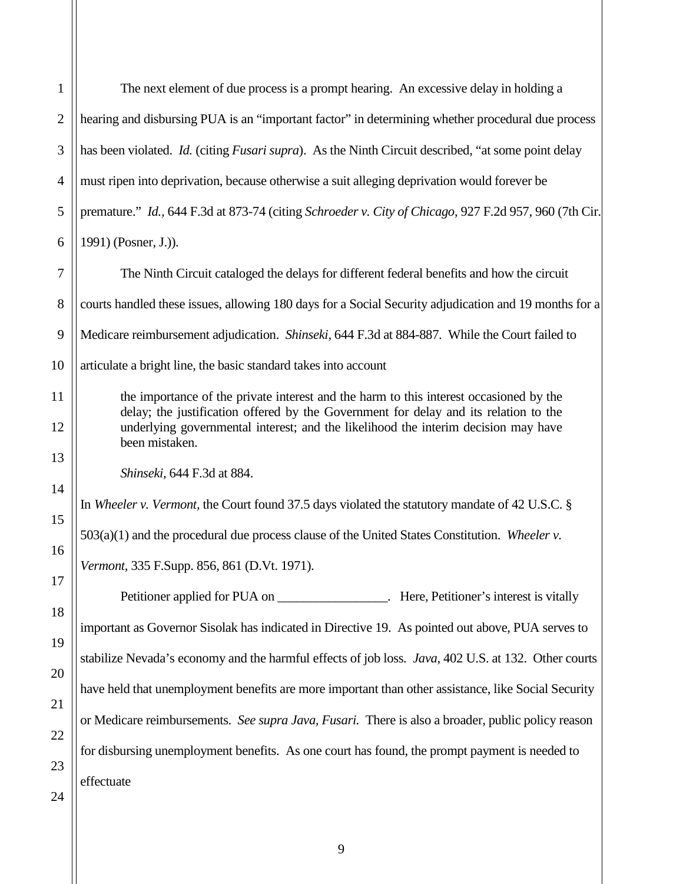| $\mathbf{1}$   | The next element of due process is a prompt hearing. An excessive delay in holding a                                                                                           |  |  |
|----------------|--------------------------------------------------------------------------------------------------------------------------------------------------------------------------------|--|--|
| $\mathbf{2}$   | hearing and disbursing PUA is an "important factor" in determining whether procedural due process                                                                              |  |  |
| 3              | has been violated. <i>Id.</i> (citing <i>Fusari supra</i> ). As the Ninth Circuit described, "at some point delay                                                              |  |  |
| $\overline{4}$ | must ripen into deprivation, because otherwise a suit alleging deprivation would forever be                                                                                    |  |  |
| 5              | premature." Id., 644 F.3d at 873-74 (citing Schroeder v. City of Chicago, 927 F.2d 957, 960 (7th Cir.                                                                          |  |  |
| 6              | 1991) (Posner, J.)).                                                                                                                                                           |  |  |
| 7              | The Ninth Circuit cataloged the delays for different federal benefits and how the circuit                                                                                      |  |  |
| 8              | courts handled these issues, allowing 180 days for a Social Security adjudication and 19 months for a                                                                          |  |  |
| 9              | Medicare reimbursement adjudication. Shinseki, 644 F.3d at 884-887. While the Court failed to                                                                                  |  |  |
| 10             | articulate a bright line, the basic standard takes into account                                                                                                                |  |  |
| 11             | the importance of the private interest and the harm to this interest occasioned by the<br>delay; the justification offered by the Government for delay and its relation to the |  |  |
| 12             | underlying governmental interest; and the likelihood the interim decision may have<br>been mistaken.                                                                           |  |  |
| 13             | Shinseki, 644 F.3d at 884.                                                                                                                                                     |  |  |
| 14             | In Wheeler v. Vermont, the Court found 37.5 days violated the statutory mandate of 42 U.S.C. §                                                                                 |  |  |
| 15             | $503(a)(1)$ and the procedural due process clause of the United States Constitution. Wheeler v.                                                                                |  |  |
| 16             | Vermont, 335 F.Supp. 856, 861 (D.Vt. 1971).                                                                                                                                    |  |  |
| 17             | Petitioner applied for PUA on ___________________. Here, Petitioner's interest is vitally                                                                                      |  |  |
| 18             | important as Governor Sisolak has indicated in Directive 19. As pointed out above, PUA serves to                                                                               |  |  |
| 19             | stabilize Nevada's economy and the harmful effects of job loss. Java, 402 U.S. at 132. Other courts                                                                            |  |  |
| 20             | have held that unemployment benefits are more important than other assistance, like Social Security                                                                            |  |  |
| 21             | or Medicare reimbursements. See supra Java, Fusari. There is also a broader, public policy reason                                                                              |  |  |
| 22             | for disbursing unemployment benefits. As one court has found, the prompt payment is needed to                                                                                  |  |  |
| 23             | effectuate                                                                                                                                                                     |  |  |
| 24             |                                                                                                                                                                                |  |  |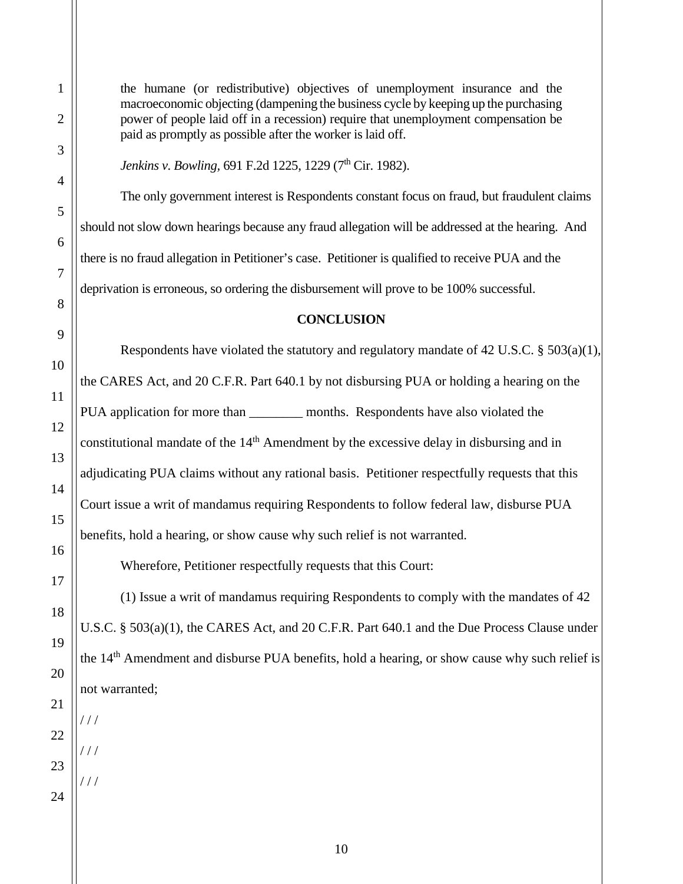the humane (or redistributive) objectives of unemployment insurance and the macroeconomic objecting (dampening the business cycle by keeping up the purchasing power of people laid off in a recession) require that unemployment compensation be paid as promptly as possible after the worker is laid off.

*Jenkins v. Bowling, 691 F.2d 1225, 1229 (7<sup>th</sup> Cir. 1982).* 

The only government interest is Respondents constant focus on fraud, but fraudulent claims should not slow down hearings because any fraud allegation will be addressed at the hearing. And there is no fraud allegation in Petitioner's case. Petitioner is qualified to receive PUA and the deprivation is erroneous, so ordering the disbursement will prove to be 100% successful.

## **CONCLUSION**

Respondents have violated the statutory and regulatory mandate of 42 U.S.C. § 503(a)(1), the CARES Act, and 20 C.F.R. Part 640.1 by not disbursing PUA or holding a hearing on the PUA application for more than months. Respondents have also violated the constitutional mandate of the 14<sup>th</sup> Amendment by the excessive delay in disbursing and in adjudicating PUA claims without any rational basis. Petitioner respectfully requests that this Court issue a writ of mandamus requiring Respondents to follow federal law, disburse PUA benefits, hold a hearing, or show cause why such relief is not warranted.

Wherefore, Petitioner respectfully requests that this Court:

(1) Issue a writ of mandamus requiring Respondents to comply with the mandates of 42 U.S.C. § 503(a)(1), the CARES Act, and 20 C.F.R. Part 640.1 and the Due Process Clause under the 14th Amendment and disburse PUA benefits, hold a hearing, or show cause why such relief is not warranted;

 $111$ 

/ / /

 $1/1$